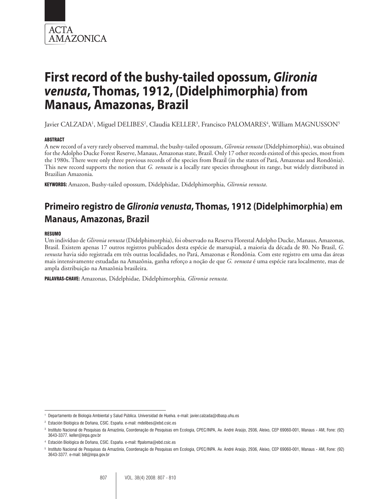

# **First record of the bushy-tailed opossum,** *Glironia venusta***, Thomas, 1912, (Didelphimorphia) from Manaus, Amazonas, Brazil**

Javier CALZADA<sup>1</sup>, Miguel DELIBES<sup>2</sup>, Claudia KELLER<sup>3</sup>, Francisco PALOMARES<sup>4</sup>, William MAGNUSSON<sup>5</sup>

## ABSTRACT

A new record of a very rarely observed mammal, the bushy-tailed opossum, *Glironia venusta* (Didelphimorphia), was obtained for the Adolpho Ducke Forest Reserve, Manaus, Amazonas state, Brazil. Only 17 other records existed of this species, most from the 1980s. There were only three previous records of the species from Brazil (in the states of Pará, Amazonas and Rondônia). This new record supports the notion that *G. venusta* is a locally rare species throughout its range, but widely distributed in Brazilian Amazonia.

KEYWORDS: Amazon, Bushy-tailed opossum, Didelphidae, Didelphimorphia, *Glironia venusta*.

# **Primeiro registro de** *Glironia venusta***, Thomas, 1912 (Didelphimorphia) em Manaus, Amazonas, Brazil**

#### RESUMO

Um indivíduo de *Glironia venusta* (Didelphimorphia), foi observado na Reserva Florestal Adolpho Ducke, Manaus, Amazonas, Brasil. Existem apenas 17 outros registros publicados desta espécie de marsupial, a maioria da década de 80. No Brasil, *G. venusta* havia sido registrada em três outras localidades, no Pará, Amazonas e Rondônia. Com este registro em uma das áreas mais intensivamente estudadas na Amazônia, ganha reforço a noção de que *G. venusta* é uma espécie rara localmente, mas de ampla distribuição na Amazônia brasileira.

PALAVRAS-CHAVE: Amazonas, Didelphidae*,* Didelphimorphia*, Glironia venusta.*

<sup>1</sup> Departamento de Biología Ambiental y Salud Pública. Universidad de Huelva. e-mail: javier.calzada@dbasp.uhu.es

<sup>2</sup> Estación Biológica de Doñana, CSIC. España. e-mail: mdelibes@ebd.csic.es

<sup>3</sup> Instituto Nacional de Pesquisas da Amazônia, Coordenação de Pesquisas em Ecologia, CPEC/INPA, Av. André Araújo, 2936, Aleixo, CEP 69060-001, Manaus - AM, Fone: (92) 3643-3377. keller@inpa.gov.br

<sup>4</sup> Estación Biológica de Doñana, CSIC. España. e-mail: ffpaloma@ebd.csic.es

<sup>5</sup> Instituto Nacional de Pesquisas da Amazônia, Coordenação de Pesquisas em Ecologia, CPEC/INPA. Av. André Araújo, 2936, Aleixo, CEP 69060-001, Manaus - AM, Fone: (92) 3643-3377. e-mail: bill@inpa.gov.br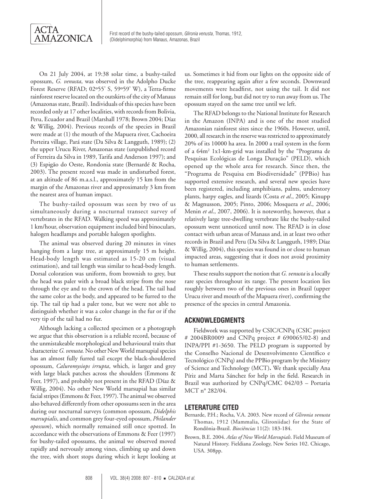

On 21 July 2004, at 19:38 solar time, a bushy-tailed opossum, *G. venusta*, was observed in the Adolpho Ducke Forest Reserve (RFAD; 02º55' S, 59º59' W), a Terra-firme rainforest reserve located on the outskirts of the city of Manaus (Amazonas state, Brazil). Individuals of this species have been recorded only at 17 other localities, with records from Bolivia, Peru, Ecuador and Brazil (Marshall 1978; Brown 2004; Díaz & Willig, 2004). Previous records of the species in Brazil were made at (1) the mouth of the Mapuera river, Cachoeira Porteira village, Pará state (Da Silva & Langguth, 1989); (2) the upper Urucu River, Amazonas state (unpublished record of Ferreira da Silva in 1989, Tarifa and Anderson 1997); and (3) Espigão do Oeste, Rondonia state (Bernardé & Rocha, 2003). The present record was made in undisturbed forest, at an altitude of 86 m.a.s.l., approximately 15 km from the margin of the Amazonas river and approximately 3 km from the nearest area of human impact.

The bushy-tailed opossum was seen by two of us simultaneously during a nocturnal transect survey of vertebrates in the RFAD. Walking speed was approximately 1 km/hour, observation equipment included bird binoculars, halogen headlamps and portable halogen spotlights.

The animal was observed during 20 minutes in vines hanging from a large tree, at approximately 15 m height. Head-body length was estimated as 15-20 cm (visual estimation), and tail length was similar to head-body length. Dorsal coloration was uniform, from brownish to grey, but the head was paler with a broad black stripe from the nose through the eye and to the crown of the head. The tail had the same color as the body, and appeared to be furred to the tip. The tail tip had a paler tone, but we were not able to distinguish whether it was a color change in the fur or if the very tip of the tail had no fur.

Although lacking a collected specimen or a photograph we argue that this observation is a reliable record, because of the unmistakeable morphological and behavioural traits that characterize *G. venusta.* No other New World marsupial species has an almost fully furred tail except the black-shouldered opossum, *Caluromysiops irrupta*, which, is larger and grey with large black patches across the shoulders (Emmons & Feer, 1997), and probably not present in the RFAD (Díaz & Willig, 2004). No other New World marsupial has similar facial stripes (Emmons & Feer, 1997). The animal we observed also behaved differently from other opossums seen in the area during our nocturnal surveys (common opossum, *Didelphis marsupialis*, and common grey four-eyed opossum, *Philander opossum*), which normally remained still once spotted. In accordance with the observations of Emmons & Feer (1997) for bushy-tailed opossums, the animal we observed moved rapidly and nervously among vines, climbing up and down the tree, with short stops during which it kept looking at

us. Sometimes it hid from our lights on the opposite side of the tree, reappearing again after a few seconds. Downward movements were headfirst, not using the tail. It did not remain still for long, but did not try to run away from us. The opossum stayed on the same tree until we left.

The RFAD belongs to the National Institute for Research in the Amazon (INPA) and is one of the most studied Amazonian rainforest sites since the 1960s. However, until, 2000, all research in the reserve was restricted to approximately 20% of its 10000 ha area. In 2000 a trail system in the form of a 64m2 1x1-km-grid was installed by the "Programa de Pesquisas Ecológicas de Longa Duração" (PELD), which opened up the whole area for research. Since then, the "Programa de Pesquisa em Biodiversidade" (PPBio) has supported extensive research, and several new species have been registered, including amphibians, palms, understory plants, harpy eagles, and lizards (Costa *et al*., 2005; Kinupp & Magnusson, 2005; Pinto, 2006; Mosquera *et al*., 2006; Menin *et al*., 2007, 2006). It is noteworthy, however, that a relatively large tree-dwelling vertebrate like the bushy-tailed opossum went unnoticed until now. The RFAD is in close contact with urban areas of Manaus and, in at least two other records in Brazil and Peru (Da Silva & Langguth, 1989; Díaz & Willig, 2004), this species was found in or close to human impacted areas, suggesting that it does not avoid proximity to human settlements.

These results support the notion that *G. venusta* is a locally rare species throughout its range. The present location lies roughly between two of the previous ones in Brazil (upper Urucu river and mouth of the Mapuera river), confirming the presence of the species in central Amazonia.

### **ACKNOWLEDGMENTS**

Fieldwork was supported by CSIC/CNPq (CSIC project # 2004BR0009 and CNPq project # 690065/02-8) and INPA/PPI #1-3650. The PELD program is supported by the Conselho Nacional de Desenvolvimento Científico e Tecnológico (CNPq) and the PPBio program by the Ministry of Science and Technology (MCT)**.** We thank specially Ana Píriz and Marta Sánchez for help in the field. Research in Brazil was authorized by CNPq/CMC 042/03 – Portaria MCT n° 282/04.

#### **LETERATURE CITED**

- Bernarde, P.H.; Rocha, V.A. 2003. New record of *Glironia venusta* Thomas, 1912 (Mammalia, Glironiidae) for the State of Rondônia-Brazil. *Biociências* 11(2): 183-184.
- Brown, B.E. 2004. *Atlas of New World Marsupials*. Field Museum of Natural History. Fieldiana Zoology, New Series 102. Chicago, USA. 308pp.